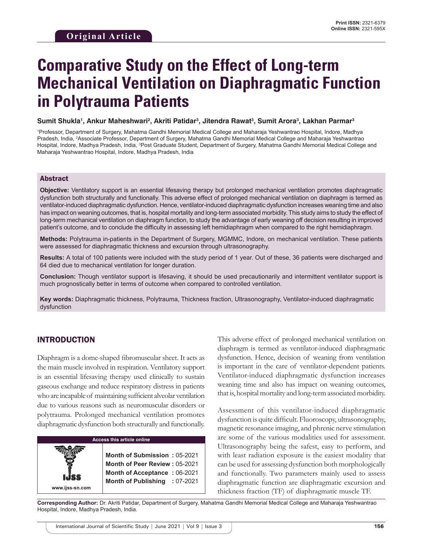# **Comparative Study on the Effect of Long-term Mechanical Ventilation on Diaphragmatic Function in Polytrauma Patients**

**Sumit Shukla1 , Ankur Maheshwari2 , Akriti Patidar3 , Jitendra Rawat3 , Sumit Arora3 , Lakhan Parmar3**

1 Professor, Department of Surgery, Mahatma Gandhi Memorial Medical College and Maharaja Yeshwantrao Hospital, Indore, Madhya Pradesh, India, 2 Associate Professor, Department of Surgery, Mahatma Gandhi Memorial Medical College and Maharaja Yeshwantrao Hospital, Indore, Madhya Pradesh, India, <sup>3</sup>Post Graduate Student, Department of Surgery, Mahatma Gandhi Memorial Medical College and Maharaja Yeshwantrao Hospital, Indore, Madhya Pradesh, India

#### Abstract

**Objective:** Ventilatory support is an essential lifesaving therapy but prolonged mechanical ventilation promotes diaphragmatic dysfunction both structurally and functionally. This adverse effect of prolonged mechanical ventilation on diaphragm is termed as ventilator-induced diaphragmatic dysfunction. Hence, ventilator-induced diaphragmatic dysfunction increases weaning time and also has impact on weaning outcomes, that is, hospital mortality and long-term associated morbidity. This study aims to study the effect of long-term mechanical ventilation on diaphragm function, to study the advantage of early weaning off decision resulting in improved patient's outcome, and to conclude the difficulty in assessing left hemidiaphragm when compared to the right hemidiaphragm.

**Methods:** Polytrauma in-patients in the Department of Surgery, MGMMC, Indore, on mechanical ventilation. These patients were assessed for diaphragmatic thickness and excursion through ultrasonography.

**Results:** A total of 100 patients were included with the study period of 1 year. Out of these, 36 patients were discharged and 64 died due to mechanical ventilation for longer duration.

**Conclusion:** Though ventilator support is lifesaving, it should be used precautionarily and intermittent ventilator support is much prognostically better in terms of outcome when compared to controlled ventilation.

**Key words:** Diaphragmatic thickness, Polytrauma, Thickness fraction, Ultrasonography, Ventilator-induced diaphragmatic dysfunction

## INTRODUCTION

**www.ijss-sn.com**

Diaphragm is a dome-shaped fibromuscular sheet. It acts as the main muscle involved in respiration. Ventilatory support is an essential lifesaving therapy used clinically to sustain gaseous exchange and reduce respiratory distress in patients who are incapable of maintaining sufficient alveolar ventilation due to various reasons such as neuromuscular disorders or polytrauma. Prolonged mechanical ventilation promotes diaphragmatic dysfunction both structurally and functionally.

#### **Access this article online**

**Month of Submission :** 05-2021 **Month of Peer Review :** 05-2021 **Month of Acceptance :** 06-2021 **Month of Publishing :** 07-2021 This adverse effect of prolonged mechanical ventilation on diaphragm is termed as ventilator-induced diaphragmatic dysfunction. Hence, decision of weaning from ventilation is important in the care of ventilator-dependent patients. Ventilator-induced diaphragmatic dysfunction increases weaning time and also has impact on weaning outcomes, that is, hospital mortality and long-term associated morbidity.

Assessment of this ventilator-induced diaphragmatic dysfunction is quite difficult. Fluoroscopy, ultrasonography, magnetic resonance imaging, and phrenic nerve stimulation are some of the various modalities used for assessment. Ultrasonography being the safest, easy to perform, and with least radiation exposure is the easiest modality that can be used for assessing dysfunction both morphologically and functionally. Two parameters mainly used to assess diaphragmatic function are diaphragmatic excursion and thickness fraction (TF) of diaphragmatic muscle TF.

**Corresponding Author:** Dr. Akriti Patidar, Department of Surgery, Mahatma Gandhi Memorial Medical College and Maharaja Yeshwantrao Hospital, Indore, Madhya Pradesh, India.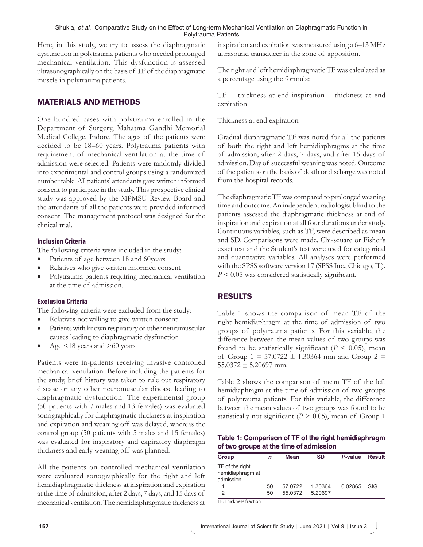#### Shukla, *et al*.: Comparative Study on the Effect of Long-term Mechanical Ventilation on Diaphragmatic Function in Polytrauma Patients

Here, in this study, we try to assess the diaphragmatic dysfunction in polytrauma patients who needed prolonged mechanical ventilation. This dysfunction is assessed ultrasonographically on the basis of TF of the diaphragmatic muscle in polytrauma patients.

# MATERIALS AND METHODS

One hundred cases with polytrauma enrolled in the Department of Surgery, Mahatma Gandhi Memorial Medical College, Indore. The ages of the patients were decided to be 18–60 years. Polytrauma patients with requirement of mechanical ventilation at the time of admission were selected. Patients were randomly divided into experimental and control groups using a randomized number table. All patients' attendants gave written informed consent to participate in the study. This prospective clinical study was approved by the MPMSU Review Board and the attendants of all the patients were provided informed consent. The management protocol was designed for the clinical trial.

#### **Inclusion Criteria**

The following criteria were included in the study:

- Patients of age between 18 and 60years
- Relatives who give written informed consent
- Polytrauma patients requiring mechanical ventilation at the time of admission.

### **Exclusion Criteria**

The following criteria were excluded from the study:

- Relatives not willing to give written consent
- Patients with known respiratory or other neuromuscular causes leading to diaphragmatic dysfunction
- Age  $<18$  years and  $>60$  years.

Patients were in-patients receiving invasive controlled mechanical ventilation. Before including the patients for the study, brief history was taken to rule out respiratory disease or any other neuromuscular disease leading to diaphragmatic dysfunction. The experimental group (50 patients with 7 males and 13 females) was evaluated sonographically for diaphragmatic thickness at inspiration and expiration and weaning off was delayed, whereas the control group (50 patients with 5 males and 15 females) was evaluated for inspiratory and expiratory diaphragm thickness and early weaning off was planned.

All the patients on controlled mechanical ventilation were evaluated sonographically for the right and left hemidiaphragmatic thickness at inspiration and expiration at the time of admission, after 2 days, 7 days, and 15 days of mechanical ventilation. The hemidiaphragmatic thickness at inspiration and expiration was measured using a 6–13 MHz ultrasound transducer in the zone of apposition.

The right and left hemidiaphragmatic TF was calculated as a percentage using the formula:

 $TF =$  thickness at end inspiration – thickness at end expiration

Thickness at end expiration

Gradual diaphragmatic TF was noted for all the patients of both the right and left hemidiaphragms at the time of admission, after 2 days, 7 days, and after 15 days of admission. Day of successful weaning was noted. Outcome of the patients on the basis of death or discharge was noted from the hospital records.

The diaphragmatic TF was compared to prolonged weaning time and outcome. An independent radiologist blind to the patients assessed the diaphragmatic thickness at end of inspiration and expiration at all four durations under study. Continuous variables, such as TF, were described as mean and SD. Comparisons were made. Chi-square or Fisher's exact test and the Student's test were used for categorical and quantitative variables. All analyses were performed with the SPSS software version 17 (SPSS Inc., Chicago, IL). *P* < 0.05 was considered statistically significant.

# RESULTS

Table 1 shows the comparison of mean TF of the right hemidiaphragm at the time of admission of two groups of polytrauma patients. For this variable, the difference between the mean values of two groups was found to be statistically significant  $(P < 0.05)$ , mean of Group  $1 = 57.0722 \pm 1.30364$  mm and Group  $2 =$  $55.0372 \pm 5.20697$  mm.

Table 2 shows the comparison of mean TF of the left hemidiaphragm at the time of admission of two groups of polytrauma patients. For this variable, the difference between the mean values of two groups was found to be statistically not significant ( $P > 0.05$ ), mean of Group 1

| Table 1: Comparison of TF of the right hemidiaphragm |
|------------------------------------------------------|
| of two groups at the time of admission               |

| Group                                            | n  | Mean    | <b>SD</b> | P-value | <b>Result</b> |
|--------------------------------------------------|----|---------|-----------|---------|---------------|
| TF of the right<br>hemidiaphragm at<br>admission |    |         |           |         |               |
|                                                  | 50 | 57.0722 | 1.30364   | 0.02865 | SIG           |
|                                                  | 50 | 55.0372 | 5.20697   |         |               |
| TF: Thickness fraction                           |    |         |           |         |               |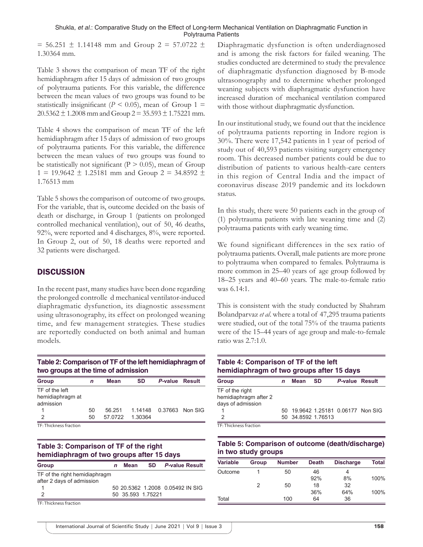$= 56.251 \pm 1.14148$  mm and Group  $2 = 57.0722 \pm 1.14148$ 1.30364 mm.

Table 3 shows the comparison of mean TF of the right hemidiaphragm after 15 days of admission of two groups of polytrauma patients. For this variable, the difference between the mean values of two groups was found to be statistically insignificant ( $P \le 0.05$ ), mean of Group 1 =  $20.5362 \pm 1.2008$  mm and Group  $2 = 35.593 \pm 1.75221$  mm.

Table 4 shows the comparison of mean TF of the left hemidiaphragm after 15 days of admission of two groups of polytrauma patients. For this variable, the difference between the mean values of two groups was found to be statistically not significant ( $P > 0.05$ ), mean of Group  $1 = 19.9642 \pm 1.25181$  mm and Group  $2 = 34.8592 \pm 1.25181$ 1.76513 mm

Table 5 shows the comparison of outcome of two groups. For the variable, that is, outcome decided on the basis of death or discharge, in Group 1 (patients on prolonged controlled mechanical ventilation), out of 50, 46 deaths, 92%, were reported and 4 discharges, 8%, were reported. In Group 2, out of 50, 18 deaths were reported and 32 patients were discharged.

# **DISCUSSION**

In the recent past, many studies have been done regarding the prolonged controlle d mechanical ventilator-induced diaphragmatic dysfunction, its diagnostic assessment using ultrasonography, its effect on prolonged weaning time, and few management strategies. These studies are reportedly conducted on both animal and human models.

## **Table 2: Comparison of TF of the left hemidiaphragm of two groups at the time of admission**

| <b>Group</b>                                    |    | Mean    | <b>SD</b> | P-value Result          |  |
|-------------------------------------------------|----|---------|-----------|-------------------------|--|
| TF of the left<br>hemidiaphragm at<br>admission |    |         |           |                         |  |
|                                                 | 50 | 56.251  |           | 1.14148 0.37663 Non SIG |  |
|                                                 | 50 | 57.0722 | 1.30364   |                         |  |
| TEL TISSUES SAN CARD AND A                      |    |         |           |                         |  |

TF: Thickness fraction

# **Table 3: Comparison of TF of the right hemidiaphragm of two groups after 15 days**

| Group                                                      | n | Mean              | SD. | <b>P-value Result</b>            |
|------------------------------------------------------------|---|-------------------|-----|----------------------------------|
| TF of the right hemidiaphragm<br>after 2 days of admission |   |                   |     |                                  |
|                                                            |   |                   |     | 50 20.5362 1.2008 0.05492 IN SIG |
| 2                                                          |   | 50 35.593 1.75221 |     |                                  |
| TE. Thickness fraction                                     |   |                   |     |                                  |

with those without diaphragmatic dysfunction. In our institutional study, we found out that the incidence of polytrauma patients reporting in Indore region is 30%. There were 17,542 patients in 1 year of period of

study out of 40,593 patients visiting surgery emergency room. This decreased number patients could be due to distribution of patients to various health-care centers in this region of Central India and the impact of coronavirus disease 2019 pandemic and its lockdown status.

Diaphragmatic dysfunction is often underdiagnosed and is among the risk factors for failed weaning. The studies conducted are determined to study the prevalence of diaphragmatic dysfunction diagnosed by B-mode ultrasonography and to determine whether prolonged weaning subjects with diaphragmatic dysfunction have increased duration of mechanical ventilation compared

In this study, there were 50 patients each in the group of (1) polytrauma patients with late weaning time and (2) polytrauma patients with early weaning time.

We found significant differences in the sex ratio of polytrauma patients. Overall, male patients are more prone to polytrauma when compared to females. Polytrauma is more common in 25–40 years of age group followed by 18–25 years and 40–60 years. The male-to-female ratio was 6.14:1.

This is consistent with the study conducted by Shahram Bolandparvaz *et al*. where a total of 47,295 trauma patients were studied, out of the total 75% of the trauma patients were of the 15–44 years of age group and male-to-female ratio was 2.7:1.0.

# **Table 4: Comparison of TF of the left hemidiaphragm of two groups after 15 days**

| Group                                 | n | Mean               | - SD | <b>P-value Result</b> |                                    |
|---------------------------------------|---|--------------------|------|-----------------------|------------------------------------|
| TF of the right                       |   |                    |      |                       |                                    |
| hemidiaphragm after 2                 |   |                    |      |                       |                                    |
| days of admission                     |   |                    |      |                       |                                    |
|                                       |   |                    |      |                       | 50 19,9642 1.25181 0.06177 Non SIG |
|                                       |   | 50 34.8592 1.76513 |      |                       |                                    |
| mediately and a state of the state of |   |                    |      |                       |                                    |

TF: Thickness fraction

## **Table 5: Comparison of outcome (death/discharge) in two study groups**

| <b>Variable</b> | <b>Group</b> | <b>Number</b> | <b>Death</b> | <b>Discharge</b> | Total |
|-----------------|--------------|---------------|--------------|------------------|-------|
| Outcome         |              | 50            | 46           |                  |       |
| 2               |              |               | 92%          | 8%               | 100%  |
|                 | 50           | 18            | 32           |                  |       |
|                 |              | 36%           | 64%          | 100%             |       |
| Total           |              | 100           | 64           | 36               |       |

TF: Thickness fraction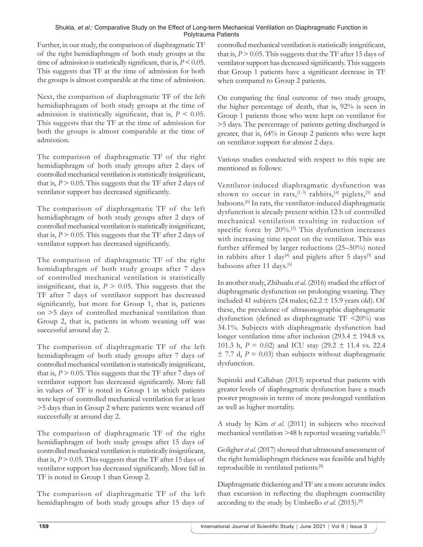#### Shukla, *et al*.: Comparative Study on the Effect of Long-term Mechanical Ventilation on Diaphragmatic Function in Polytrauma Patients

Further, in our study, the comparison of diaphragmatic TF of the right hemidiaphragm of both study groups at the time of admission is statistically significant, that is, *P* < 0.05. This suggests that TF at the time of admission for both the groups is almost comparable at the time of admission.

Next, the comparison of diaphragmatic TF of the left hemidiaphragam of both study groups at the time of admission is statistically significant, that is,  $P \leq 0.05$ . This suggests that the TF at the time of admission for both the groups is almost comparable at the time of admission.

The comparison of diaphragmatic TF of the right hemidiaphragm of both study groups after 2 days of controlled mechanical ventilation is statistically insignificant, that is,  $P > 0.05$ . This suggests that the TF after 2 days of ventilator support has decreased significantly.

The comparison of diaphragmatic TF of the left hemidiaphragm of both study groups after 2 days of controlled mechanical ventilation is statistically insignificant, that is,  $P > 0.05$ . This suggests that the TF after 2 days of ventilator support has decreased significantly.

The comparison of diaphragmatic TF of the right hemidiaphragm of both study groups after 7 days of controlled mechanical ventilation is statistically insignificant, that is,  $P > 0.05$ . This suggests that the TF after 7 days of ventilator support has decreased significantly, but more for Group 1, that is, patients on >5 days of controlled mechanical ventilation than Group 2, that is, patients in whom weaning off was successful around day 2.

The comparison of diaphragmatic TF of the left hemidiaphragm of both study groups after 7 days of controlled mechanical ventilation is statistically insignificant, that is,  $P > 0.05$ . This suggests that the TF after 7 days of ventilator support has decreased significantly. More fall in values of TF is noted in Group 1 in which patients were kept of controlled mechanical ventilation for at least >5 days than in Group 2 where patients were weaned off successfully at around day 2.

The comparison of diaphragmatic TF of the right hemidiaphragm of both study groups after 15 days of controlled mechanical ventilation is statistically insignificant, that is,  $P > 0.05$ . This suggests that the TF after 15 days of ventilator support has decreased significantly. More fall in TF is noted in Group 1 than Group 2.

The comparison of diaphragmatic TF of the left hemidiaphragm of both study groups after 15 days of controlled mechanical ventilation is statistically insignificant, that is,  $P > 0.05$ . This suggests that the TF after 15 days of ventilator support has decreased significantly. This suggests that Group 1 patients have a significant decrease in TF when compared to Group 2 patients.

On comparing the final outcome of two study groups, the higher percentage of death, that is, 92% is seen in Group 1 patients those who were kept on ventilator for >5 days. The percentage of patients getting discharged is greater, that is, 64% in Group 2 patients who were kept on ventilator support for almost 2 days.

Various studies conducted with respect to this topic are mentioned as follows:

Ventilator-induced diaphragmatic dysfunction was shown to occur in rats,  $[1-3]$  rabbits,  $[4]$  piglets,  $[5]$  and baboons.[6] In rats, the ventilator-induced diaphragmatic dysfunction is already present within 12 h of controlled mechanical ventilation resulting in reduction of specific force by 20%.<sup>[2]</sup> This dysfunction increases with increasing time spent on the ventilator. This was further affirmed by larger reductions (25–50%) noted in rabbits after 1 day<sup>[4]</sup> and piglets after 5 days<sup>[5]</sup> and baboons after 11 days.<sup>[6]</sup>

In another study, Zhihualu *et al*. (2016) studied the effect of diaphragmatic dysfunction on prolonging weaning. They included 41 subjects (24 males;  $62.2 \pm 15.9$  years old). Of these, the prevalence of ultrasonographic diaphragmatic dysfunction (defined as diaphragmatic TF <20%) was 34.1%. Subjects with diaphragmatic dysfunction had longer ventilation time after inclusion (293.4  $\pm$  194.8 vs. 101.3 h,  $P = 0.02$ ) and ICU stay (29.2  $\pm$  11.4 vs. 22.4  $\pm$  7.7 d,  $P = 0.03$ ) than subjects without diaphragmatic dysfunction.

Supinski and Callahan (2013) reported that patients with greater levels of diaphragmatic dysfunction have a much poorer prognosis in terms of more prolonged ventilation as well as higher mortality.

A study by Kim *et al*. (2011) in subjects who received mechanical ventilation >48 h reported weaning variable.[7]

Goligher *et al*. (2017) showed that ultrasound assessment of the right hemidiaphragm thickness was feasible and highly reproducible in ventilated patients.[8]

Diaphragmatic thickening and TF are a more accurate index than excursion in reflecting the diaphragm contractility according to the study by Umbrello *et al*. (2015).[9]